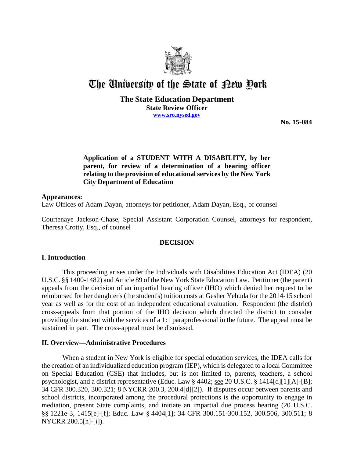

# The University of the State of Pew Pork

## **The State Education Department State Review Officer www.sro.nysed.gov**

**No. 15-084**

# **Application of a STUDENT WITH A DISABILITY, by her parent, for review of a determination of a hearing officer relating to the provision of educational services by the New York City Department of Education**

#### **Appearances:**

Law Offices of Adam Dayan, attorneys for petitioner, Adam Dayan, Esq., of counsel

Courtenaye Jackson-Chase, Special Assistant Corporation Counsel, attorneys for respondent, Theresa Crotty, Esq., of counsel

#### **DECISION**

## **I. Introduction**

This proceeding arises under the Individuals with Disabilities Education Act (IDEA) (20 U.S.C. §§ 1400-1482) and Article 89 of the New York State Education Law. Petitioner (the parent) appeals from the decision of an impartial hearing officer (IHO) which denied her request to be reimbursed for her daughter's (the student's) tuition costs at Gesher Yehuda for the 2014-15 school year as well as for the cost of an independent educational evaluation. Respondent (the district) cross-appeals from that portion of the IHO decision which directed the district to consider providing the student with the services of a 1:1 paraprofessional in the future. The appeal must be sustained in part. The cross-appeal must be dismissed.

#### **II. Overview—Administrative Procedures**

When a student in New York is eligible for special education services, the IDEA calls for the creation of an individualized education program (IEP), which is delegated to a local Committee on Special Education (CSE) that includes, but is not limited to, parents, teachers, a school psychologist, and a district representative (Educ. Law § 4402; see 20 U.S.C. § 1414[d][1][A]-[B]; 34 CFR 300.320, 300.321; 8 NYCRR 200.3, 200.4[d][2]). If disputes occur between parents and school districts, incorporated among the procedural protections is the opportunity to engage in mediation, present State complaints, and initiate an impartial due process hearing (20 U.S.C. §§ 1221e-3, 1415[e]-[f]; Educ. Law § 4404[1]; 34 CFR 300.151-300.152, 300.506, 300.511; 8 NYCRR 200.5[h]-[*l*]).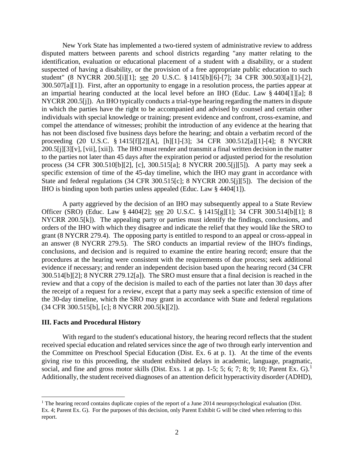New York State has implemented a two-tiered system of administrative review to address disputed matters between parents and school districts regarding "any matter relating to the identification, evaluation or educational placement of a student with a disability, or a student suspected of having a disability, or the provision of a free appropriate public education to such student" (8 NYCRR 200.5[i][1]; see 20 U.S.C. § 1415[b][6]-[7]; 34 CFR 300.503[a][1]-[2], 300.507[a][1]). First, after an opportunity to engage in a resolution process, the parties appear at an impartial hearing conducted at the local level before an IHO (Educ. Law § 4404[1][a]; 8 NYCRR 200.5[j]). An IHO typically conducts a trial-type hearing regarding the matters in dispute in which the parties have the right to be accompanied and advised by counsel and certain other individuals with special knowledge or training; present evidence and confront, cross-examine, and compel the attendance of witnesses; prohibit the introduction of any evidence at the hearing that has not been disclosed five business days before the hearing; and obtain a verbatim record of the proceeding (20 U.S.C. § 1415[f][2][A], [h][1]-[3]; 34 CFR 300.512[a][1]-[4]; 8 NYCRR 200.5[j][3][v], [vii], [xii]). The IHO must render and transmit a final written decision in the matter to the parties not later than 45 days after the expiration period or adjusted period for the resolution process (34 CFR 300.510[b][2], [c], 300.515[a]; 8 NYCRR 200.5[j][5]). A party may seek a specific extension of time of the 45-day timeline, which the IHO may grant in accordance with State and federal regulations (34 CFR 300.515[c]; 8 NYCRR 200.5[j][5]). The decision of the IHO is binding upon both parties unless appealed (Educ. Law § 4404[1]).

A party aggrieved by the decision of an IHO may subsequently appeal to a State Review Officer (SRO) (Educ. Law § 4404[2]; see 20 U.S.C. § 1415[g][1]; 34 CFR 300.514[b][1]; 8 NYCRR 200.5[k]). The appealing party or parties must identify the findings, conclusions, and orders of the IHO with which they disagree and indicate the relief that they would like the SRO to grant (8 NYCRR 279.4). The opposing party is entitled to respond to an appeal or cross-appeal in an answer (8 NYCRR 279.5). The SRO conducts an impartial review of the IHO's findings, conclusions, and decision and is required to examine the entire hearing record; ensure that the procedures at the hearing were consistent with the requirements of due process; seek additional evidence if necessary; and render an independent decision based upon the hearing record (34 CFR 300.514[b][2]; 8 NYCRR 279.12[a]). The SRO must ensure that a final decision is reached in the review and that a copy of the decision is mailed to each of the parties not later than 30 days after the receipt of a request for a review, except that a party may seek a specific extension of time of the 30-day timeline, which the SRO may grant in accordance with State and federal regulations (34 CFR 300.515[b], [c]; 8 NYCRR 200.5[k][2]).

#### **III. Facts and Procedural History**

With regard to the student's educational history, the hearing record reflects that the student received special education and related services since the age of two through early intervention and the Committee on Preschool Special Education (Dist. Ex. 6 at p. 1). At the time of the events giving rise to this proceeding, the student exhibited delays in academic, language, pragmatic, social, and fine and gross motor skills (Dist. Exs. 1 at pp. 1-5; 5; 6; 7; 8; 9; 10; Parent Ex. G).<sup>1</sup> Additionally, the student received diagnoses of an attention deficit hyperactivity disorder (ADHD),

 $1$  The hearing record contains duplicate copies of the report of a June 2014 neuropsychological evaluation (Dist. Ex. 4; Parent Ex. G). For the purposes of this decision, only Parent Exhibit G will be cited when referring to this report.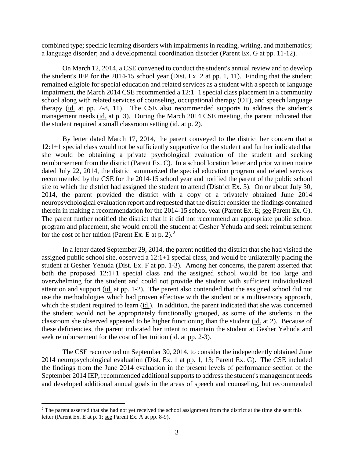combined type; specific learning disorders with impairments in reading, writing, and mathematics; a language disorder; and a developmental coordination disorder (Parent Ex. G at pp. 11-12).

On March 12, 2014, a CSE convened to conduct the student's annual review and to develop the student's IEP for the 2014-15 school year (Dist. Ex. 2 at pp. 1, 11). Finding that the student remained eligible for special education and related services as a student with a speech or language impairment, the March 2014 CSE recommended a 12:1+1 special class placement in a community school along with related services of counseling, occupational therapy (OT), and speech language therapy (id. at pp. 7-8, 11). The CSE also recommended supports to address the student's management needs (id. at p. 3). During the March 2014 CSE meeting, the parent indicated that the student required a small classroom setting (id. at p. 2).

By letter dated March 17, 2014, the parent conveyed to the district her concern that a 12:1+1 special class would not be sufficiently supportive for the student and further indicated that she would be obtaining a private psychological evaluation of the student and seeking reimbursement from the district (Parent Ex. C). In a school location letter and prior written notice dated July 22, 2014, the district summarized the special education program and related services recommended by the CSE for the 2014-15 school year and notified the parent of the public school site to which the district had assigned the student to attend (District Ex. 3). On or about July 30, 2014, the parent provided the district with a copy of a privately obtained June 2014 neuropsychological evaluation report and requested that the district consider the findings contained therein in making a recommendation for the 2014-15 school year (Parent Ex. E; see Parent Ex. G). The parent further notified the district that if it did not recommend an appropriate public school program and placement, she would enroll the student at Gesher Yehuda and seek reimbursement for the cost of her tuition (Parent Ex. E at p. 2).<sup>2</sup>

In a letter dated September 29, 2014, the parent notified the district that she had visited the assigned public school site, observed a 12:1+1 special class, and would be unilaterally placing the student at Gesher Yehuda (Dist. Ex. F at pp. 1-3). Among her concerns, the parent asserted that both the proposed 12:1+1 special class and the assigned school would be too large and overwhelming for the student and could not provide the student with sufficient individualized attention and support (id. at pp. 1-2). The parent also contended that the assigned school did not use the methodologies which had proven effective with the student or a multisensory approach, which the student required to learn (id.). In addition, the parent indicated that she was concerned the student would not be appropriately functionally grouped, as some of the students in the classroom she observed appeared to be higher functioning than the student (id. at 2). Because of these deficiencies, the parent indicated her intent to maintain the student at Gesher Yehuda and seek reimbursement for the cost of her tuition (id. at pp. 2-3).

The CSE reconvened on September 30, 2014, to consider the independently obtained June 2014 neuropsychological evaluation (Dist. Ex. 1 at pp. 1, 13; Parent Ex. G). The CSE included the findings from the June 2014 evaluation in the present levels of performance section of the September 2014 IEP, recommended additional supports to address the student's management needs and developed additional annual goals in the areas of speech and counseling, but recommended

<sup>&</sup>lt;sup>2</sup> The parent asserted that she had not yet received the school assignment from the district at the time she sent this letter (Parent Ex. E at p. 1; see Parent Ex. A at pp. 8-9).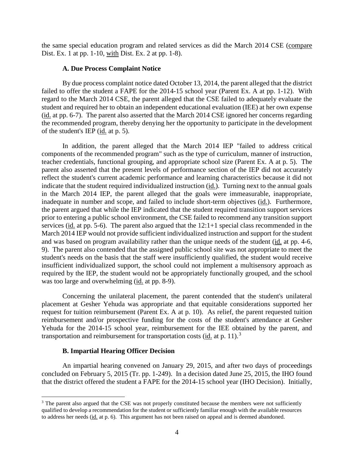the same special education program and related services as did the March 2014 CSE (compare Dist. Ex. 1 at pp. 1-10, with Dist. Ex. 2 at pp. 1-8).

#### **A. Due Process Complaint Notice**

By due process complaint notice dated October 13, 2014, the parent alleged that the district failed to offer the student a FAPE for the 2014-15 school year (Parent Ex. A at pp. 1-12). With regard to the March 2014 CSE, the parent alleged that the CSE failed to adequately evaluate the student and required her to obtain an independent educational evaluation (IEE) at her own expense (id. at pp. 6-7). The parent also asserted that the March 2014 CSE ignored her concerns regarding the recommended program, thereby denying her the opportunity to participate in the development of the student's IEP (id. at p. 5).

In addition, the parent alleged that the March 2014 IEP "failed to address critical components of the recommended program" such as the type of curriculum, manner of instruction, teacher credentials, functional grouping, and appropriate school size (Parent Ex. A at p. 5). The parent also asserted that the present levels of performance section of the IEP did not accurately reflect the student's current academic performance and learning characteristics because it did not indicate that the student required individualized instruction (id.). Turning next to the annual goals in the March 2014 IEP, the parent alleged that the goals were immeasurable, inappropriate, inadequate in number and scope, and failed to include short-term objectives (id.). Furthermore, the parent argued that while the IEP indicated that the student required transition support services prior to entering a public school environment, the CSE failed to recommend any transition support services (id. at pp. 5-6). The parent also argued that the 12:1+1 special class recommended in the March 2014 IEP would not provide sufficient individualized instruction and support for the student and was based on program availability rather than the unique needs of the student (id. at pp. 4-6, 9). The parent also contended that the assigned public school site was not appropriate to meet the student's needs on the basis that the staff were insufficiently qualified, the student would receive insufficient individualized support, the school could not implement a multisensory approach as required by the IEP, the student would not be appropriately functionally grouped, and the school was too large and overwhelming (id. at pp. 8-9).

Concerning the unilateral placement, the parent contended that the student's unilateral placement at Gesher Yehuda was appropriate and that equitable considerations supported her request for tuition reimbursement (Parent Ex. A at p. 10). As relief, the parent requested tuition reimbursement and/or prospective funding for the costs of the student's attendance at Gesher Yehuda for the 2014-15 school year, reimbursement for the IEE obtained by the parent, and transportation and reimbursement for transportation costs  $(id.$  at p. 11).<sup>3</sup>

## **B. Impartial Hearing Officer Decision**

An impartial hearing convened on January 29, 2015, and after two days of proceedings concluded on February 5, 2015 (Tr. pp. 1-249). In a decision dated June 25, 2015, the IHO found that the district offered the student a FAPE for the 2014-15 school year (IHO Decision). Initially,

<sup>&</sup>lt;sup>3</sup> The parent also argued that the CSE was not properly constituted because the members were not sufficiently qualified to develop a recommendation for the student or sufficiently familiar enough with the available resources to address her needs (id. at p. 6). This argument has not been raised on appeal and is deemed abandoned.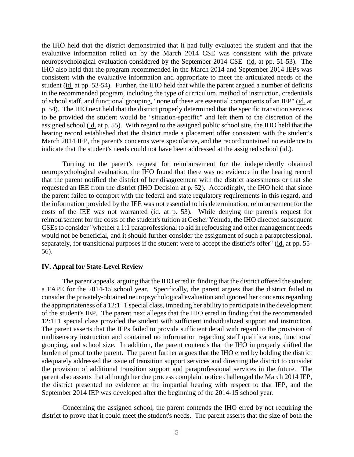the IHO held that the district demonstrated that it had fully evaluated the student and that the evaluative information relied on by the March 2014 CSE was consistent with the private neuropsychological evaluation considered by the September 2014 CSE (id. at pp. 51-53). The IHO also held that the program recommended in the March 2014 and September 2014 IEPs was consistent with the evaluative information and appropriate to meet the articulated needs of the student (id. at pp. 53-54). Further, the IHO held that while the parent argued a number of deficits in the recommended program, including the type of curriculum, method of instruction, credentials of school staff, and functional grouping, "none of these are essential components of an IEP" (id. at p. 54). The IHO next held that the district properly determined that the specific transition services to be provided the student would be "situation-specific" and left them to the discretion of the assigned school (id. at p. 55). With regard to the assigned public school site, the IHO held that the hearing record established that the district made a placement offer consistent with the student's March 2014 IEP, the parent's concerns were speculative, and the record contained no evidence to indicate that the student's needs could not have been addressed at the assigned school (id.).

Turning to the parent's request for reimbursement for the independently obtained neuropsychological evaluation, the IHO found that there was no evidence in the hearing record that the parent notified the district of her disagreement with the district assessments or that she requested an IEE from the district (IHO Decision at p. 52). Accordingly, the IHO held that since the parent failed to comport with the federal and state regulatory requirements in this regard, and the information provided by the IEE was not essential to his determination, reimbursement for the costs of the IEE was not warranted (id. at p. 53). While denying the parent's request for reimbursement for the costs of the student's tuition at Gesher Yehuda, the IHO directed subsequent CSEs to consider "whether a 1:1 paraprofessional to aid in refocusing and other management needs would not be beneficial, and it should further consider the assignment of such a paraprofessional, separately, for transitional purposes if the student were to accept the district's offer" (id. at pp. 55-56).

#### **IV. Appeal for State-Level Review**

The parent appeals, arguing that the IHO erred in finding that the district offered the student a FAPE for the 2014-15 school year. Specifically, the parent argues that the district failed to consider the privately-obtained neuropsychological evaluation and ignored her concerns regarding the appropriateness of a 12:1+1 special class, impeding her ability to participate in the development of the student's IEP. The parent next alleges that the IHO erred in finding that the recommended 12:1+1 special class provided the student with sufficient individualized support and instruction. The parent asserts that the IEPs failed to provide sufficient detail with regard to the provision of multisensory instruction and contained no information regarding staff qualifications, functional grouping, and school size. In addition, the parent contends that the IHO improperly shifted the burden of proof to the parent. The parent further argues that the IHO erred by holding the district adequately addressed the issue of transition support services and directing the district to consider the provision of additional transition support and paraprofessional services in the future. The parent also asserts that although her due process complaint notice challenged the March 2014 IEP, the district presented no evidence at the impartial hearing with respect to that IEP, and the September 2014 IEP was developed after the beginning of the 2014-15 school year.

Concerning the assigned school, the parent contends the IHO erred by not requiring the district to prove that it could meet the student's needs. The parent asserts that the size of both the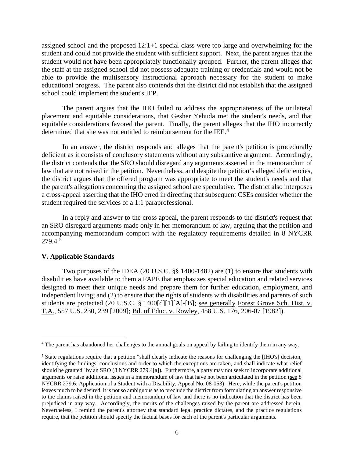assigned school and the proposed 12:1+1 special class were too large and overwhelming for the student and could not provide the student with sufficient support. Next, the parent argues that the student would not have been appropriately functionally grouped. Further, the parent alleges that the staff at the assigned school did not possess adequate training or credentials and would not be able to provide the multisensory instructional approach necessary for the student to make educational progress. The parent also contends that the district did not establish that the assigned school could implement the student's IEP.

The parent argues that the IHO failed to address the appropriateness of the unilateral placement and equitable considerations, that Gesher Yehuda met the student's needs, and that equitable considerations favored the parent. Finally, the parent alleges that the IHO incorrectly determined that she was not entitled to reimbursement for the IEE.<sup>4</sup>

In an answer, the district responds and alleges that the parent's petition is procedurally deficient as it consists of conclusory statements without any substantive argument. Accordingly, the district contends that the SRO should disregard any arguments asserted in the memorandum of law that are not raised in the petition. Nevertheless, and despite the petition's alleged deficiencies, the district argues that the offered program was appropriate to meet the student's needs and that the parent's allegations concerning the assigned school are speculative. The district also interposes a cross-appeal asserting that the IHO erred in directing that subsequent CSEs consider whether the student required the services of a 1:1 paraprofessional.

In a reply and answer to the cross appeal, the parent responds to the district's request that an SRO disregard arguments made only in her memorandum of law, arguing that the petition and accompanying memorandum comport with the regulatory requirements detailed in 8 NYCRR 279.4. 5

## **V. Applicable Standards**

Two purposes of the IDEA (20 U.S.C. §§ 1400-1482) are (1) to ensure that students with disabilities have available to them a FAPE that emphasizes special education and related services designed to meet their unique needs and prepare them for further education, employment, and independent living; and (2) to ensure that the rights of students with disabilities and parents of such students are protected (20 U.S.C. § 1400[d][1][A]-[B]; see generally Forest Grove Sch. Dist. v. T.A., 557 U.S. 230, 239 [2009]; Bd. of Educ. v. Rowley, 458 U.S. 176, 206-07 [1982]).

<sup>&</sup>lt;sup>4</sup> The parent has abandoned her challenges to the annual goals on appeal by failing to identify them in any way.

<sup>&</sup>lt;sup>5</sup> State regulations require that a petition "shall clearly indicate the reasons for challenging the [IHO's] decision, identifying the findings, conclusions and order to which the exceptions are taken, and shall indicate what relief should be granted" by an SRO (8 NYCRR 279.4[a]). Furthermore, a party may not seek to incorporate additional arguments or raise additional issues in a memorandum of law that have not been articulated in the petition (see 8) NYCRR 279.6; Application of a Student with a Disability, Appeal No. 08-053). Here, while the parent's petition leaves much to be desired, it is not so ambiguous as to preclude the district from formulating an answer responsive to the claims raised in the petition and memorandum of law and there is no indication that the district has been prejudiced in any way. Accordingly, the merits of the challenges raised by the parent are addressed herein. Nevertheless, I remind the parent's attorney that standard legal practice dictates, and the practice regulations require, that the petition should specify the factual bases for each of the parent's particular arguments.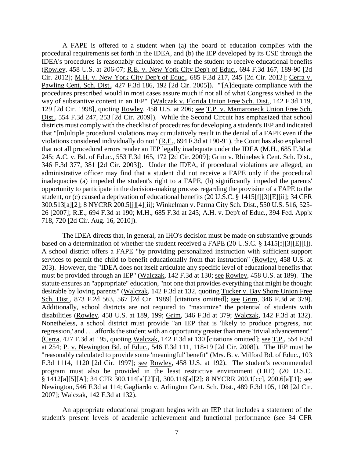A FAPE is offered to a student when (a) the board of education complies with the procedural requirements set forth in the IDEA, and (b) the IEP developed by its CSE through the IDEA's procedures is reasonably calculated to enable the student to receive educational benefits (Rowley, 458 U.S. at 206-07; R.E. v. New York City Dep't of Educ., 694 F.3d 167, 189-90 [2d Cir. 2012]; M.H. v. New York City Dep't of Educ., 685 F.3d 217, 245 [2d Cir. 2012]; Cerra v. Pawling Cent. Sch. Dist., 427 F.3d 186, 192 [2d Cir. 2005]). "'[A]dequate compliance with the procedures prescribed would in most cases assure much if not all of what Congress wished in the way of substantive content in an IEP'" (Walczak v. Florida Union Free Sch. Dist., 142 F.3d 119, 129 [2d Cir. 1998], quoting Rowley, 458 U.S. at 206; see T.P. v. Mamaroneck Union Free Sch. Dist., 554 F.3d 247, 253 [2d Cir. 2009]). While the Second Circuit has emphasized that school districts must comply with the checklist of procedures for developing a student's IEP and indicated that "[m]ultiple procedural violations may cumulatively result in the denial of a FAPE even if the violations considered individually do not" (R.E., 694 F.3d at 190-91), the Court has also explained that not all procedural errors render an IEP legally inadequate under the IDEA (M.H., 685 F.3d at 245; A.C. v. Bd. of Educ., 553 F.3d 165, 172 [2d Cir. 2009]; Grim v. Rhinebeck Cent. Sch. Dist., 346 F.3d 377, 381 [2d Cir. 2003]). Under the IDEA, if procedural violations are alleged, an administrative officer may find that a student did not receive a FAPE only if the procedural inadequacies (a) impeded the student's right to a FAPE, (b) significantly impeded the parents' opportunity to participate in the decision-making process regarding the provision of a FAPE to the student, or (c) caused a deprivation of educational benefits (20 U.S.C. § 1415[f][3][E][ii]; 34 CFR 300.513[a][2]; 8 NYCRR 200.5[j][4][ii]; Winkelman v. Parma City Sch. Dist., 550 U.S. 516, 525- 26 [2007]; R.E., 694 F.3d at 190; M.H., 685 F.3d at 245; A.H. v. Dep't of Educ., 394 Fed. App'x 718, 720 [2d Cir. Aug. 16, 2010]).

The IDEA directs that, in general, an IHO's decision must be made on substantive grounds based on a determination of whether the student received a FAPE (20 U.S.C. § 1415[f][3][E][i]). A school district offers a FAPE "by providing personalized instruction with sufficient support services to permit the child to benefit educationally from that instruction" (Rowley, 458 U.S. at 203). However, the "IDEA does not itself articulate any specific level of educational benefits that must be provided through an IEP" (Walczak, 142 F.3d at 130; see Rowley, 458 U.S. at 189). The statute ensures an "appropriate" education, "not one that provides everything that might be thought desirable by loving parents" (Walczak, 142 F.3d at 132, quoting Tucker v. Bay Shore Union Free Sch. Dist., 873 F.2d 563, 567 [2d Cir. 1989] [citations omitted]; see Grim, 346 F.3d at 379). Additionally, school districts are not required to "maximize" the potential of students with disabilities (Rowley, 458 U.S. at 189, 199; Grim, 346 F.3d at 379; Walczak, 142 F.3d at 132). Nonetheless, a school district must provide "an IEP that is 'likely to produce progress, not regression,' and . . . affords the student with an opportunity greater than mere 'trivial advancement'" (Cerra, 427 F.3d at 195, quoting Walczak, 142 F.3d at 130 [citations omitted]; see T.P., 554 F.3d at 254; P. v. Newington Bd. of Educ., 546 F.3d 111, 118-19 [2d Cir. 2008]). The IEP must be "reasonably calculated to provide some 'meaningful' benefit" (Mrs. B. v. Milford Bd. of Educ., 103 F.3d 1114, 1120 [2d Cir. 1997]; see Rowley, 458 U.S. at 192). The student's recommended program must also be provided in the least restrictive environment (LRE) (20 U.S.C. § 1412[a][5][A]; 34 CFR 300.114[a][2][i], 300.116[a][2]; 8 NYCRR 200.1[cc], 200.6[a][1]; see Newington, 546 F.3d at 114; Gagliardo v. Arlington Cent. Sch. Dist., 489 F.3d 105, 108 [2d Cir. 2007]; Walczak, 142 F.3d at 132).

An appropriate educational program begins with an IEP that includes a statement of the student's present levels of academic achievement and functional performance (see 34 CFR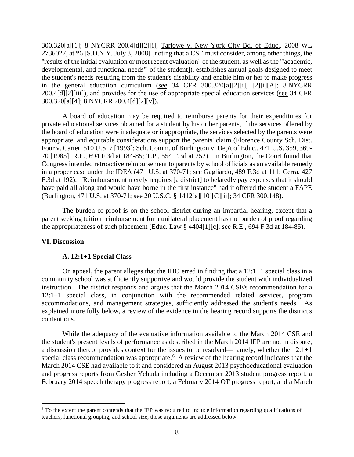300.320[a][1]; 8 NYCRR 200.4[d][2][i]; Tarlowe v. New York City Bd. of Educ., 2008 WL 2736027, at \*6 [S.D.N.Y. July 3, 2008] [noting that a CSE must consider, among other things, the "results of the initial evaluation or most recent evaluation" of the student, as well as the "'academic, developmental, and functional needs'" of the student]), establishes annual goals designed to meet the student's needs resulting from the student's disability and enable him or her to make progress in the general education curriculum (see 34 CFR 300.320[a][2][i], [2][i][A]; 8 NYCRR 200.4[d][2][iii]), and provides for the use of appropriate special education services (see 34 CFR 300.320[a][4]; 8 NYCRR 200.4[d][2][v]).

A board of education may be required to reimburse parents for their expenditures for private educational services obtained for a student by his or her parents, if the services offered by the board of education were inadequate or inappropriate, the services selected by the parents were appropriate, and equitable considerations support the parents' claim (Florence County Sch. Dist. Four v. Carter, 510 U.S. 7 [1993]; Sch. Comm. of Burlington v. Dep't of Educ., 471 U.S. 359, 369- 70 [1985]; R.E., 694 F.3d at 184-85; T.P., 554 F.3d at 252). In Burlington, the Court found that Congress intended retroactive reimbursement to parents by school officials as an available remedy in a proper case under the IDEA (471 U.S. at 370-71; see Gagliardo, 489 F.3d at 111; Cerra, 427 F.3d at 192). "Reimbursement merely requires [a district] to belatedly pay expenses that it should have paid all along and would have borne in the first instance" had it offered the student a FAPE (Burlington, 471 U.S. at 370-71; see 20 U.S.C. § 1412[a][10][C][ii]; 34 CFR 300.148).

The burden of proof is on the school district during an impartial hearing, except that a parent seeking tuition reimbursement for a unilateral placement has the burden of proof regarding the appropriateness of such placement (Educ. Law § 4404[1][c]; see R.E., 694 F.3d at 184-85).

## **VI. Discussion**

#### **A. 12:1+1 Special Class**

On appeal, the parent alleges that the IHO erred in finding that a  $12:1+1$  special class in a community school was sufficiently supportive and would provide the student with individualized instruction. The district responds and argues that the March 2014 CSE's recommendation for a 12:1+1 special class, in conjunction with the recommended related services, program accommodations, and management strategies, sufficiently addressed the student's needs. As explained more fully below, a review of the evidence in the hearing record supports the district's contentions.

While the adequacy of the evaluative information available to the March 2014 CSE and the student's present levels of performance as described in the March 2014 IEP are not in dispute, a discussion thereof provides context for the issues to be resolved—namely, whether the 12:1+1 special class recommendation was appropriate.<sup>6</sup> A review of the hearing record indicates that the March 2014 CSE had available to it and considered an August 2013 psychoeducational evaluation and progress reports from Gesher Yehuda including a December 2013 student progress report, a February 2014 speech therapy progress report, a February 2014 OT progress report, and a March

 <sup>6</sup> To the extent the parent contends that the IEP was required to include information regarding qualifications of teachers, functional grouping, and school size, those arguments are addressed below.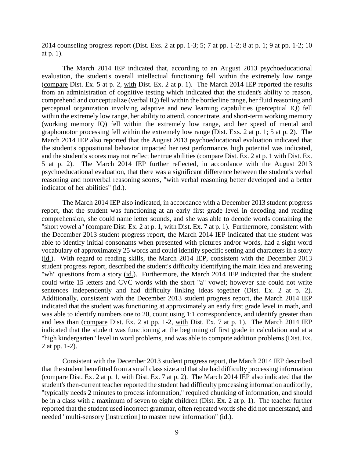2014 counseling progress report (Dist. Exs. 2 at pp. 1-3; 5; 7 at pp. 1-2; 8 at p. 1; 9 at pp. 1-2; 10 at p. 1).

The March 2014 IEP indicated that, according to an August 2013 psychoeducational evaluation, the student's overall intellectual functioning fell within the extremely low range (compare Dist. Ex. 5 at p. 2, with Dist. Ex. 2 at p. 1). The March 2014 IEP reported the results from an administration of cognitive testing which indicated that the student's ability to reason, comprehend and conceptualize (verbal IQ) fell within the borderline range, her fluid reasoning and perceptual organization involving adaptive and new learning capabilities (perceptual IQ) fell within the extremely low range, her ability to attend, concentrate, and short-term working memory (working memory IQ) fell within the extremely low range, and her speed of mental and graphomotor processing fell within the extremely low range (Dist. Exs. 2 at p. 1; 5 at p. 2). The March 2014 IEP also reported that the August 2013 psychoeducational evaluation indicated that the student's oppositional behavior impacted her test performance, high potential was indicated, and the student's scores may not reflect her true abilities (compare Dist. Ex. 2 at p. 1 with Dist. Ex. 5 at p. 2). The March 2014 IEP further reflected, in accordance with the August 2013 psychoeducational evaluation, that there was a significant difference between the student's verbal reasoning and nonverbal reasoning scores, "with verbal reasoning better developed and a better indicator of her abilities" (id.).

The March 2014 IEP also indicated, in accordance with a December 2013 student progress report, that the student was functioning at an early first grade level in decoding and reading comprehension, she could name letter sounds, and she was able to decode words containing the "short vowel a" (compare Dist. Ex. 2 at p. 1, with Dist. Ex. 7 at p. 1). Furthermore, consistent with the December 2013 student progress report, the March 2014 IEP indicated that the student was able to identify initial consonants when presented with pictures and/or words, had a sight word vocabulary of approximately 25 words and could identify specific setting and characters in a story (id.). With regard to reading skills, the March 2014 IEP, consistent with the December 2013 student progress report, described the student's difficulty identifying the main idea and answering "wh" questions from a story (id.). Furthermore, the March 2014 IEP indicated that the student could write 15 letters and CVC words with the short "a" vowel; however she could not write sentences independently and had difficulty linking ideas together (Dist. Ex. 2 at p. 2). Additionally, consistent with the December 2013 student progress report, the March 2014 IEP indicated that the student was functioning at approximately an early first grade level in math, and was able to identify numbers one to 20, count using 1:1 correspondence, and identify greater than and less than (compare Dist. Ex. 2 at pp. 1-2, with Dist. Ex. 7 at p. 1). The March 2014 IEP indicated that the student was functioning at the beginning of first grade in calculation and at a "high kindergarten" level in word problems, and was able to compute addition problems (Dist. Ex. 2 at pp. 1-2).

Consistent with the December 2013 student progress report, the March 2014 IEP described that the student benefitted from a small class size and that she had difficulty processing information (compare Dist. Ex. 2 at p. 1, with Dist. Ex. 7 at p. 2). The March 2014 IEP also indicated that the student's then-current teacher reported the student had difficulty processing information auditorily, "typically needs 2 minutes to process information," required chunking of information, and should be in a class with a maximum of seven to eight children (Dist. Ex. 2 at p. 1). The teacher further reported that the student used incorrect grammar, often repeated words she did not understand, and needed "multi-sensory [instruction] to master new information" (id.).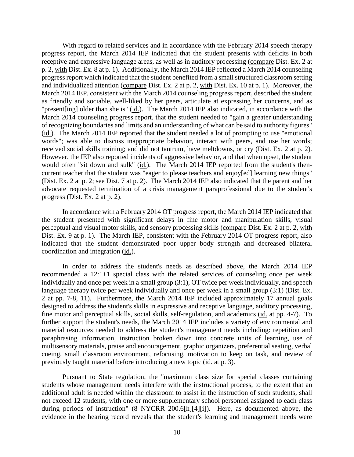With regard to related services and in accordance with the February 2014 speech therapy progress report, the March 2014 IEP indicated that the student presents with deficits in both receptive and expressive language areas, as well as in auditory processing (compare Dist. Ex. 2 at p. 2, with Dist. Ex. 8 at p. 1). Additionally, the March 2014 IEP reflected a March 2014 counseling progress report which indicated that the student benefited from a small structured classroom setting and individualized attention (compare Dist. Ex. 2 at p. 2, with Dist. Ex. 10 at p. 1). Moreover, the March 2014 IEP, consistent with the March 2014 counseling progress report, described the student as friendly and sociable, well-liked by her peers, articulate at expressing her concerns, and as "present[ing] older than she is" (id.). The March 2014 IEP also indicated, in accordance with the March 2014 counseling progress report, that the student needed to "gain a greater understanding of recognizing boundaries and limits and an understanding of what can be said to authority figures" (id.). The March 2014 IEP reported that the student needed a lot of prompting to use "emotional" words"; was able to discuss inappropriate behavior, interact with peers, and use her words; received social skills training; and did not tantrum, have meltdowns, or cry (Dist. Ex. 2 at p. 2). However, the IEP also reported incidents of aggressive behavior, and that when upset, the student would often "sit down and sulk" (id.). The March 2014 IEP reported from the student's thencurrent teacher that the student was "eager to please teachers and enjoy[ed] learning new things" (Dist. Ex. 2 at p. 2; see Dist. 7 at p. 2). The March 2014 IEP also indicated that the parent and her advocate requested termination of a crisis management paraprofessional due to the student's progress (Dist. Ex. 2 at p. 2).

In accordance with a February 2014 OT progress report, the March 2014 IEP indicated that the student presented with significant delays in fine motor and manipulation skills, visual perceptual and visual motor skills, and sensory processing skills (compare Dist. Ex. 2 at p. 2, with Dist. Ex. 9 at p. 1). The March IEP, consistent with the February 2014 OT progress report, also indicated that the student demonstrated poor upper body strength and decreased bilateral coordination and integration (id.).

In order to address the student's needs as described above, the March 2014 IEP recommended a 12:1+1 special class with the related services of counseling once per week individually and once per week in a small group (3:1), OT twice per week individually, and speech language therapy twice per week individually and once per week in a small group (3:1) (Dist. Ex. 2 at pp. 7-8, 11). Furthermore, the March 2014 IEP included approximately 17 annual goals designed to address the student's skills in expressive and receptive language, auditory processing, fine motor and perceptual skills, social skills, self-regulation, and academics (id. at pp. 4-7). To further support the student's needs, the March 2014 IEP includes a variety of environmental and material resources needed to address the student's management needs including: repetition and paraphrasing information, instruction broken down into concrete units of learning, use of multisensory materials, praise and encouragement, graphic organizers, preferential seating, verbal cueing, small classroom environment, refocusing, motivation to keep on task, and review of previously taught material before introducing a new topic (id. at p. 3).

Pursuant to State regulation, the "maximum class size for special classes containing students whose management needs interfere with the instructional process, to the extent that an additional adult is needed within the classroom to assist in the instruction of such students, shall not exceed 12 students, with one or more supplementary school personnel assigned to each class during periods of instruction" (8 NYCRR 200.6[h][4][i]). Here, as documented above, the evidence in the hearing record reveals that the student's learning and management needs were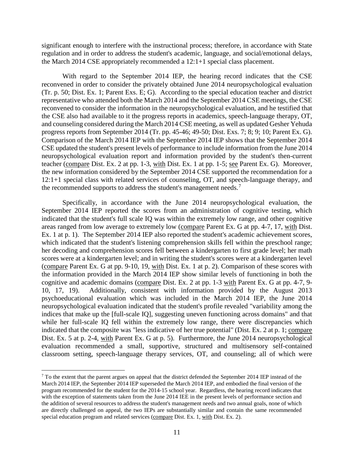significant enough to interfere with the instructional process; therefore, in accordance with State regulation and in order to address the student's academic, language, and social/emotional delays, the March 2014 CSE appropriately recommended a 12:1+1 special class placement.

With regard to the September 2014 IEP, the hearing record indicates that the CSE reconvened in order to consider the privately obtained June 2014 neuropsychological evaluation (Tr. p. 50; Dist. Ex. 1; Parent Exs. E; G). According to the special education teacher and district representative who attended both the March 2014 and the September 2014 CSE meetings, the CSE reconvened to consider the information in the neuropsychological evaluation, and he testified that the CSE also had available to it the progress reports in academics, speech-language therapy, OT, and counseling considered during the March 2014 CSE meeting, as well as updated Gesher Yehuda progress reports from September 2014 (Tr. pp. 45-46; 49-50; Dist. Exs. 7; 8; 9; 10; Parent Ex. G). Comparison of the March 2014 IEP with the September 2014 IEP shows that the September 2014 CSE updated the student's present levels of performance to include information from the June 2014 neuropsychological evaluation report and information provided by the student's then-current teacher (compare Dist. Ex. 2 at pp. 1-3, with Dist. Ex. 1 at pp. 1-5; see Parent Ex. G). Moreover, the new information considered by the September 2014 CSE supported the recommendation for a 12:1+1 special class with related services of counseling, OT, and speech-language therapy, and the recommended supports to address the student's management needs.<sup>7</sup>

Specifically, in accordance with the June 2014 neuropsychological evaluation, the September 2014 IEP reported the scores from an administration of cognitive testing, which indicated that the student's full scale IQ was within the extremely low range, and other cognitive areas ranged from low average to extremely low (compare Parent Ex. G at pp. 4-7, 17, with Dist. Ex. 1 at p. 1). The September 2014 IEP also reported the student's academic achievement scores, which indicated that the student's listening comprehension skills fell within the preschool range; her decoding and comprehension scores fell between a kindergarten to first grade level; her math scores were at a kindergarten level; and in writing the student's scores were at a kindergarten level (compare Parent Ex. G at pp. 9-10, 19, with Dist. Ex. 1 at p. 2). Comparison of these scores with the information provided in the March 2014 IEP show similar levels of functioning in both the cognitive and academic domains (compare Dist. Ex. 2 at pp. 1-3 with Parent Ex. G at pp. 4-7, 9- 10, 17, 19). Additionally, consistent with information provided by the August 2013 psychoeducational evaluation which was included in the March 2014 IEP, the June 2014 neuropsychological evaluation indicated that the student's profile revealed "variability among the indices that make up the [full-scale IQ], suggesting uneven functioning across domains" and that while her full-scale IQ fell within the extremely low range, there were discrepancies which indicated that the composite was "less indicative of her true potential" (Dist. Ex. 2 at p. 1; compare Dist. Ex. 5 at p. 2-4, with Parent Ex. G at p. 5). Furthermore, the June 2014 neuropsychological evaluation recommended a small, supportive, structured and multisensory self-contained classroom setting, speech-language therapy services, OT, and counseling; all of which were

 $7$  To the extent that the parent argues on appeal that the district defended the September 2014 IEP instead of the March 2014 IEP, the September 2014 IEP superseded the March 2014 IEP, and embodied the final version of the program recommended for the student for the 2014-15 school year. Regardless, the hearing record indicates that with the exception of statements taken from the June 2014 IEE in the present levels of performance section and the addition of several resources to address the student's management needs and two annual goals, none of which are directly challenged on appeal, the two IEPs are substantially similar and contain the same recommended special education program and related services (compare Dist. Ex. 1, with Dist. Ex. 2).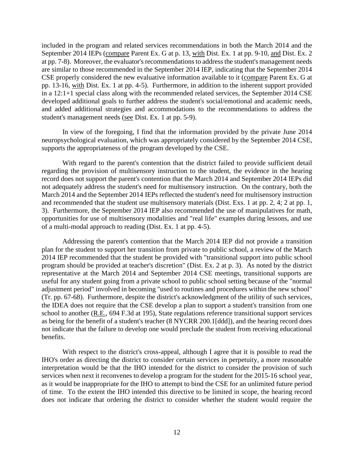included in the program and related services recommendations in both the March 2014 and the September 2014 IEPs (compare Parent Ex. G at p. 13, with Dist. Ex. 1 at pp. 9-10, and Dist. Ex. 2 at pp. 7-8). Moreover, the evaluator's recommendations to address the student's management needs are similar to those recommended in the September 2014 IEP, indicating that the September 2014 CSE properly considered the new evaluative information available to it (compare Parent Ex. G at pp. 13-16, with Dist. Ex. 1 at pp. 4-5). Furthermore, in addition to the inherent support provided in a 12:1+1 special class along with the recommended related services, the September 2014 CSE developed additional goals to further address the student's social/emotional and academic needs, and added additional strategies and accommodations to the recommendations to address the student's management needs (see Dist. Ex. 1 at pp. 5-9).

In view of the foregoing, I find that the information provided by the private June 2014 neuropsychological evaluation, which was appropriately considered by the September 2014 CSE, supports the appropriateness of the program developed by the CSE.

With regard to the parent's contention that the district failed to provide sufficient detail regarding the provision of multisensory instruction to the student, the evidence in the hearing record does not support the parent's contention that the March 2014 and September 2014 IEPs did not adequately address the student's need for multisensory instruction. On the contrary, both the March 2014 and the September 2014 IEPs reflected the student's need for multisensory instruction and recommended that the student use multisensory materials (Dist. Exs. 1 at pp. 2, 4; 2 at pp. 1, 3). Furthermore, the September 2014 IEP also recommended the use of manipulatives for math, opportunities for use of multisensory modalities and "real life" examples during lessons, and use of a multi-modal approach to reading (Dist. Ex. 1 at pp. 4-5).

Addressing the parent's contention that the March 2014 IEP did not provide a transition plan for the student to support her transition from private to public school, a review of the March 2014 IEP recommended that the student be provided with "transitional support into public school program should be provided at teacher's discretion" (Dist. Ex. 2 at p. 3). As noted by the district representative at the March 2014 and September 2014 CSE meetings, transitional supports are useful for any student going from a private school to public school setting because of the "normal adjustment period" involved in becoming "used to routines and procedures within the new school" (Tr. pp. 67-68). Furthermore, despite the district's acknowledgment of the utility of such services, the IDEA does not require that the CSE develop a plan to support a student's transition from one school to another (R.E., 694 F.3d at 195), State regulations reference transitional support services as being for the benefit of a student's teacher (8 NYCRR 200.1[ddd]), and the hearing record does not indicate that the failure to develop one would preclude the student from receiving educational benefits.

With respect to the district's cross-appeal, although I agree that it is possible to read the IHO's order as directing the district to consider certain services in perpetuity, a more reasonable interpretation would be that the IHO intended for the district to consider the provision of such services when next it reconvenes to develop a program for the student for the 2015-16 school year, as it would be inappropriate for the IHO to attempt to bind the CSE for an unlimited future period of time. To the extent the IHO intended this directive to be limited in scope, the hearing record does not indicate that ordering the district to consider whether the student would require the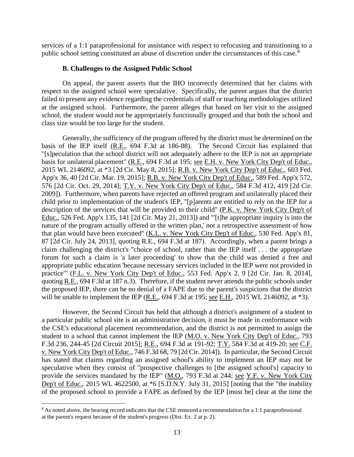services of a 1:1 paraprofessional for assistance with respect to refocusing and transitioning to a public school setting constituted an abuse of discretion under the circumstances of this case.<sup>8</sup>

## **B. Challenges to the Assigned Public School**

On appeal, the parent asserts that the IHO incorrectly determined that her claims with respect to the assigned school were speculative. Specifically, the parent argues that the district failed to present any evidence regarding the credentials of staff or teaching methodologies utilized at the assigned school. Furthermore, the parent alleges that based on her visit to the assigned school, the student would not be appropriately functionally grouped and that both the school and class size would be too large for the student.

Generally, the sufficiency of the program offered by the district must be determined on the basis of the IEP itself (R.E., 694 F.3d at 186-88). The Second Circuit has explained that "[s]peculation that the school district will not adequately adhere to the IEP is not an appropriate basis for unilateral placement" (R.E., 694 F.3d at 195; see E.H. v. New York City Dep't of Educ., 2015 WL 2146092, at \*3 [2d Cir. May 8, 2015]; R.B. v. New York City Dep't of Educ., 603 Fed. App'x 36, 40 [2d Cir. Mar. 19, 2015]; R.B. v. New York City Dep't of Educ., 589 Fed. App'x 572, 576 [2d Cir. Oct. 29, 2014]; T.Y. v. New York City Dep't of Educ., 584 F.3d 412, 419 [2d Cir. 2009]). Furthermore, when parents have rejected an offered program and unilaterally placed their child prior to implementation of the student's IEP, "[p]arents are entitled to rely on the IEP for a description of the services that will be provided to their child" (P.K. v. New York City Dep't of Educ., 526 Fed. App'x 135, 141 [2d Cir. May 21, 2013]) and "'[t]he appropriate inquiry is into the nature of the program actually offered in the written plan,' not a retrospective assessment of how that plan would have been executed" (K.L. v. New York City Dep't of Educ., 530 Fed. App'x 81, 87 [2d Cir. July 24, 2013], quoting R.E., 694 F.3d at 187). Accordingly, when a parent brings a claim challenging the district's "choice of school, rather than the IEP itself . . . the appropriate forum for such a claim is 'a later proceeding' to show that the child was denied a free and appropriate public education 'because necessary services included in the IEP were not provided in practice'" (F.L. v. New York City Dep't of Educ., 553 Fed. App'x 2, 9 [2d Cir. Jan. 8, 2014], quoting R.E., 694 F.3d at 187 n.3). Therefore, if the student never attends the public schools under the proposed IEP, there can be no denial of a FAPE due to the parent's suspicions that the district will be unable to implement the IEP (R.E., 694 F.3d at 195; see E.H., 2015 WL 2146092, at  $*3$ ).

However, the Second Circuit has held that although a district's assignment of a student to a particular public school site is an administrative decision, it must be made in conformance with the CSE's educational placement recommendation, and the district is not permitted to assign the student to a school that cannot implement the IEP (M.O. v. New York City Dep't of Educ., 793 F.3d 236, 244-45 [2d Circuit 2015]; R.E., 694 F.3d at 191-92; T.Y. 584 F.3d at 419-20; see C.F. v. New York City Dep't of Educ., 746 F.3d 68, 79 [2d Cir. 2014]). In particular, the Second Circuit has stated that claims regarding an assigned school's ability to implement an IEP may not be speculative when they consist of "prospective challenges to [the assigned school's] capacity to provide the services mandated by the IEP" (M.O., 793 F.3d at 244; see Y.F. v. New York City Dep't of Educ., 2015 WL 4622500, at \*6 [S.D.N.Y. July 31, 2015] [noting that the "the inability of the proposed school to provide a FAPE as defined by the IEP [must be] clear at the time the

<sup>&</sup>lt;sup>8</sup> As noted above, the hearing record indicates that the CSE removed a recommendation for a 1:1 paraprofessional at the parent's request because of the student's progress (Dist. Ex. 2 at p. 2).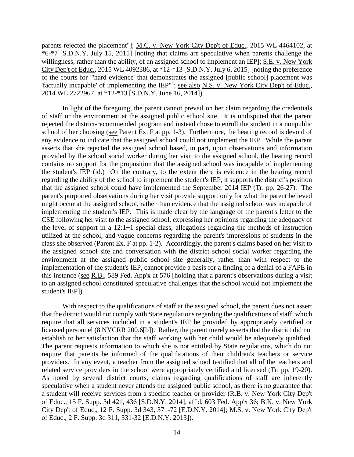parents rejected the placement"]; M.C. v. New York City Dep't of Educ., 2015 WL 4464102, at \*6-\*7 [S.D.N.Y. July 15, 2015] [noting that claims are speculative when parents challenge the willingness, rather than the ability, of an assigned school to implement an IEP]; S.E. v. New York City Dep't of Educ., 2015 WL 4092386, at \*12-\*13 [S.D.N.Y. July 6, 2015] [noting the preference of the courts for "'hard evidence' that demonstrates the assigned [public school] placement was 'factually incapable' of implementing the IEP"]; see also N.S. v. New York City Dep't of Educ., 2014 WL 2722967, at \*12-\*13 [S.D.N.Y. June 16, 2014]).

In light of the foregoing, the parent cannot prevail on her claim regarding the credentials of staff or the environment at the assigned public school site. It is undisputed that the parent rejected the district-recommended program and instead chose to enroll the student in a nonpublic school of her choosing (see Parent Ex. F at pp. 1-3). Furthermore, the hearing record is devoid of any evidence to indicate that the assigned school could not implement the IEP. While the parent asserts that she rejected the assigned school based, in part, upon observations and information provided by the school social worker during her visit to the assigned school, the hearing record contains no support for the proposition that the assigned school was incapable of implementing the student's IEP (id.) On the contrary, to the extent there is evidence in the hearing record regarding the ability of the school to implement the student's IEP, it supports the district's position that the assigned school could have implemented the September 2014 IEP (Tr. pp. 26-27). The parent's purported observations during her visit provide support only for what the parent believed might occur at the assigned school, rather than evidence that the assigned school was incapable of implementing the student's IEP. This is made clear by the language of the parent's letter to the CSE following her visit to the assigned school, expressing her opinions regarding the adequacy of the level of support in a 12:1+1 special class, allegations regarding the methods of instruction utilized at the school, and vague concerns regarding the parent's impressions of students in the class she observed (Parent Ex. F at pp. 1-2). Accordingly, the parent's claims based on her visit to the assigned school site and conversation with the district school social worker regarding the environment at the assigned public school site generally, rather than with respect to the implementation of the student's IEP, cannot provide a basis for a finding of a denial of a FAPE in this instance (see R.B., 589 Fed. App'x at 576 [holding that a parent's observations during a visit to an assigned school constituted speculative challenges that the school would not implement the student's IEP]).

With respect to the qualifications of staff at the assigned school, the parent does not assert that the district would not comply with State regulations regarding the qualifications of staff, which require that all services included in a student's IEP be provided by appropriately certified or licensed personnel (8 NYCRR 200.6[b]). Rather, the parent merely asserts that the district did not establish to her satisfaction that the staff working with her child would be adequately qualified. The parent requests information to which she is not entitled by State regulations, which do not require that parents be informed of the qualifications of their children's teachers or service providers. In any event, a teacher from the assigned school testified that all of the teachers and related service providers in the school were appropriately certified and licensed (Tr. pp. 19-20). As noted by several district courts, claims regarding qualifications of staff are inherently speculative when a student never attends the assigned public school, as there is no guarantee that a student will receive services from a specific teacher or provider (R.B. v. New York City Dep't of Educ., 15 F. Supp. 3d 421, 436 [S.D.N.Y. 2014], aff'd, 603 Fed. App'x 36; B.K. v. New York City Dep't of Educ., 12 F. Supp. 3d 343, 371-72 [E.D.N.Y. 2014]; M.S. v. New York City Dep't of Educ., 2 F. Supp. 3d 311, 331-32 [E.D.N.Y. 2013]).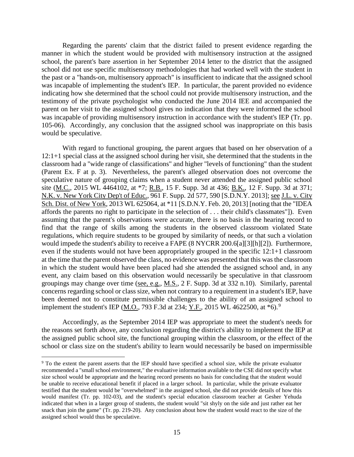Regarding the parents' claim that the district failed to present evidence regarding the manner in which the student would be provided with multisensory instruction at the assigned school, the parent's bare assertion in her September 2014 letter to the district that the assigned school did not use specific multisensory methodologies that had worked well with the student in the past or a "hands-on, multisensory approach" is insufficient to indicate that the assigned school was incapable of implementing the student's IEP. In particular, the parent provided no evidence indicating how she determined that the school could not provide multisensory instruction, and the testimony of the private psychologist who conducted the June 2014 IEE and accompanied the parent on her visit to the assigned school gives no indication that they were informed the school was incapable of providing multisensory instruction in accordance with the student's IEP (Tr. pp. 105-06). Accordingly, any conclusion that the assigned school was inappropriate on this basis would be speculative.

With regard to functional grouping, the parent argues that based on her observation of a 12:1+1 special class at the assigned school during her visit, she determined that the students in the classroom had a "wide range of classifications" and higher "levels of functioning" than the student (Parent Ex. F at p. 3). Nevertheless, the parent's alleged observation does not overcome the speculative nature of grouping claims when a student never attended the assigned public school site (M.C., 2015 WL 4464102, at \*7; R.B., 15 F. Supp. 3d at 436; B.K., 12 F. Supp. 3d at 371; N.K. v. New York City Dep't of Educ., 961 F. Supp. 2d 577, 590 [S.D.N.Y. 2013]; see J.L. v. City Sch. Dist. of New York, 2013 WL 625064, at \*11 [S.D.N.Y. Feb. 20, 2013] [noting that the "IDEA affords the parents no right to participate in the selection of . . . their child's classmates"]). Even assuming that the parent's observations were accurate, there is no basis in the hearing record to find that the range of skills among the students in the observed classroom violated State regulations, which require students to be grouped by similarity of needs, or that such a violation would impede the student's ability to receive a FAPE (8 NYCRR 200.6[a][3][h][2]). Furthermore, even if the students would not have been appropriately grouped in the specific 12:1+1 classroom at the time that the parent observed the class, no evidence was presented that this was the classroom in which the student would have been placed had she attended the assigned school and, in any event, any claim based on this observation would necessarily be speculative in that classroom groupings may change over time (see, e.g., M.S., 2 F. Supp. 3d at 332 n.10). Similarly, parental concerns regarding school or class size, when not contrary to a requirement in a student's IEP, have been deemed not to constitute permissible challenges to the ability of an assigned school to implement the student's IEP (M.O., 793 F.3d at 234; Y.F., 2015 WL 4622500, at \*6).<sup>9</sup>

Accordingly, as the September 2014 IEP was appropriate to meet the student's needs for the reasons set forth above, any conclusion regarding the district's ability to implement the IEP at the assigned public school site, the functional grouping within the classroom, or the effect of the school or class size on the student's ability to learn would necessarily be based on impermissible

 <sup>9</sup> To the extent the parent asserts that the IEP should have specified a school size, while the private evaluator recommended a "small school environment," the evaluative information available to the CSE did not specify what size school would be appropriate and the hearing record presents no basis for concluding that the student would be unable to receive educational benefit if placed in a larger school. In particular, while the private evaluator testified that the student would be "overwhelmed" in the assigned school, she did not provide details of how this would manifest (Tr. pp. 102-03), and the student's special education classroom teacher at Gesher Yehuda indicated that when in a larger group of students, the student would "sit shyly on the side and just rather eat her snack than join the game" (Tr. pp. 219-20). Any conclusion about how the student would react to the size of the assigned school would thus be speculative.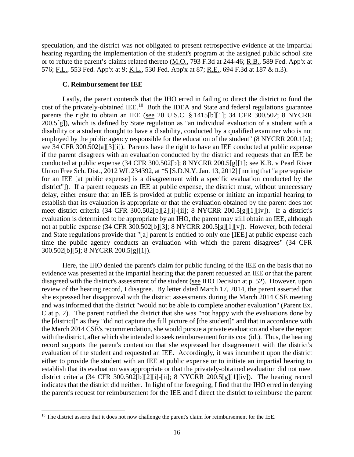speculation, and the district was not obligated to present retrospective evidence at the impartial hearing regarding the implementation of the student's program at the assigned public school site or to refute the parent's claims related thereto (M.O., 793 F.3d at 244-46; R.B., 589 Fed. App'x at 576; F.L., 553 Fed. App'x at 9; K.L., 530 Fed. App'x at 87; R.E., 694 F.3d at 187 & n.3).

### **C. Reimbursement for IEE**

Lastly, the parent contends that the IHO erred in failing to direct the district to fund the cost of the privately-obtained IEE.<sup>10</sup> Both the IDEA and State and federal regulations guarantee parents the right to obtain an IEE (see 20 U.S.C. § 1415[b][1]; 34 CFR 300.502; 8 NYCRR 200.5[g]), which is defined by State regulation as "an individual evaluation of a student with a disability or a student thought to have a disability, conducted by a qualified examiner who is not employed by the public agency responsible for the education of the student" (8 NYCRR 200.1[z]; see 34 CFR 300.502[a][3][i]). Parents have the right to have an IEE conducted at public expense if the parent disagrees with an evaluation conducted by the district and requests that an IEE be conducted at public expense (34 CFR 300.502[b]; 8 NYCRR 200.5[g][1]; see K.B. v Pearl River Union Free Sch. Dist., 2012 WL 234392, at \*5 [S.D.N.Y. Jan. 13, 2012] [noting that "a prerequisite for an IEE [at public expense] is a disagreement with a specific evaluation conducted by the district"]). If a parent requests an IEE at public expense, the district must, without unnecessary delay, either ensure that an IEE is provided at public expense or initiate an impartial hearing to establish that its evaluation is appropriate or that the evaluation obtained by the parent does not meet district criteria (34 CFR 300.502[b][2][i]-[ii]; 8 NYCRR 200.5[g][1][iv]). If a district's evaluation is determined to be appropriate by an IHO, the parent may still obtain an IEE, although not at public expense (34 CFR 300.502[b][3]; 8 NYCRR 200.5[g][1][v]). However, both federal and State regulations provide that "[a] parent is entitled to only one [IEE] at public expense each time the public agency conducts an evaluation with which the parent disagrees" (34 CFR 300.502[b][5]; 8 NYCRR 200.5[g][1]).

Here, the IHO denied the parent's claim for public funding of the IEE on the basis that no evidence was presented at the impartial hearing that the parent requested an IEE or that the parent disagreed with the district's assessment of the student (see IHO Decision at p. 52). However, upon review of the hearing record, I disagree. By letter dated March 17, 2014, the parent asserted that she expressed her disapproval with the district assessments during the March 2014 CSE meeting and was informed that the district "would not be able to complete another evaluation" (Parent Ex. C at p. 2). The parent notified the district that she was "not happy with the evaluations done by the [district]" as they "did not capture the full picture of [the student]" and that in accordance with the March 2014 CSE's recommendation, she would pursue a private evaluation and share the report with the district, after which she intended to seek reimbursement for its cost (id.). Thus, the hearing record supports the parent's contention that she expressed her disagreement with the district's evaluation of the student and requested an IEE. Accordingly, it was incumbent upon the district either to provide the student with an IEE at public expense or to initiate an impartial hearing to establish that its evaluation was appropriate or that the privately-obtained evaluation did not meet district criteria (34 CFR 300.502[b][2][i]-[ii]; 8 NYCRR 200.5[g][1][iv]). The hearing record indicates that the district did neither. In light of the foregoing, I find that the IHO erred in denying the parent's request for reimbursement for the IEE and I direct the district to reimburse the parent

<sup>&</sup>lt;sup>10</sup> The district asserts that it does not now challenge the parent's claim for reimbursement for the IEE.